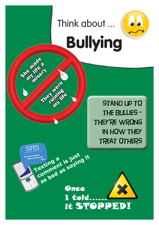

**STAND UP TO** THE BULLIES -THEY'RE WRONG **IN HOW THEY TREAT OTHERS** 

Think about ... Bullying

She made a

GM9

**They were Ruinic** my ffe

**Texting a**